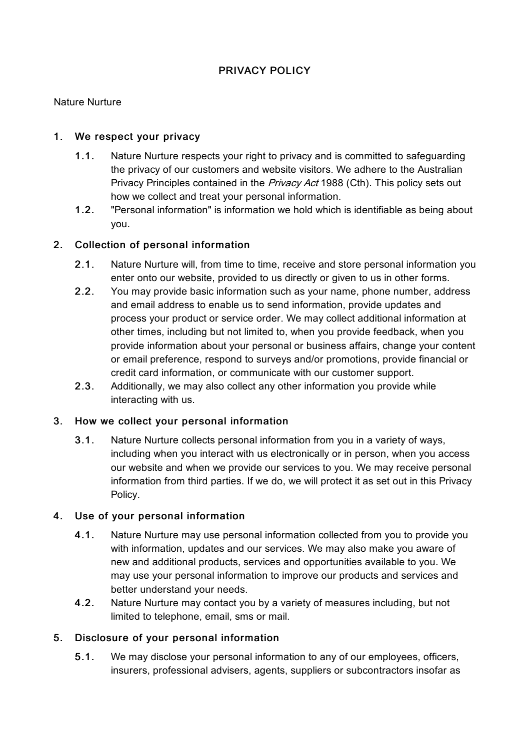# PRIVACY POLICY

### Nature Nurture

### 1. We respect your privacy

- 1.1. Nature Nurture respects your right to privacy and is committed to safeguarding the privacy of our customers and website visitors. We adhere to the Australian Privacy Principles contained in the *Privacy Act* 1988 (Cth). This policy sets out how we collect and treat your personal information.
- 1.2. "Personal information" is information we hold which is identifiable as being about you.

#### 2. Collection of personal information

- 2.1. Nature Nurture will, from time to time, receive and store personal information you enter onto our website, provided to us directly or given to us in other forms.
- 2.2. You may provide basic information such as your name, phone number, address and email address to enable us to send information, provide updates and process your product or service order. We may collect additional information at other times, including but not limited to, when you provide feedback, when you provide information about your personal or business affairs, change your content or email preference, respond to surveys and/or promotions, provide financial or credit card information, or communicate with our customer support.
- 2.3. Additionally, we may also collect any other information you provide while interacting with us.

## 3. How we collect your personal information

3.1. Nature Nurture collects personal information from you in a variety of ways, including when you interact with us electronically or in person, when you access our website and when we provide our services to you. We may receive personal information from third parties. If we do, we will protect it as set out in this Privacy Policy.

#### 4. Use of your personal information

- 4.1. Nature Nurture may use personal information collected from you to provide you with information, updates and our services. We may also make you aware of new and additional products, services and opportunities available to you. We may use your personal information to improve our products and services and better understand your needs.
- 4.2. Nature Nurture may contact you by a variety of measures including, but not limited to telephone, email, sms or mail.

#### 5. Disclosure of your personal information

5.1. We may disclose your personal information to any of our employees, officers, insurers, professional advisers, agents, suppliers or subcontractors insofar as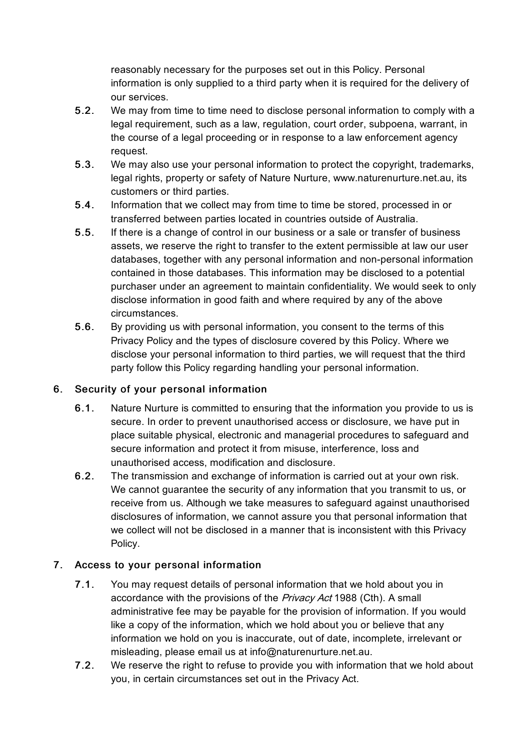reasonably necessary for the purposes set out in this Policy. Personal information is only supplied to a third party when it is required for the delivery of our services.

- 5.2. We may from time to time need to disclose personal information to comply with a legal requirement, such as a law, regulation, court order, subpoena, warrant, in the course of a legal proceeding or in response to a law enforcement agency request.
- 5.3. We may also use your personal information to protect the copyright, trademarks, legal rights, property or safety of Nature Nurture, www.naturenurture.net.au, its customers or third parties.
- 5.4. Information that we collect may from time to time be stored, processed in or transferred between parties located in countries outside of Australia.
- 5.5. If there is a change of control in our business or a sale or transfer of business assets, we reserve the right to transfer to the extent permissible at law our user databases, together with any personal information and non-personal information contained in those databases. This information may be disclosed to a potential purchaser under an agreement to maintain confidentiality. We would seek to only disclose information in good faith and where required by any of the above circumstances.
- 5.6. By providing us with personal information, you consent to the terms of this Privacy Policy and the types of disclosure covered by this Policy. Where we disclose your personal information to third parties, we will request that the third party follow this Policy regarding handling your personal information.

# 6. Security of your personal information

- 6.1. Nature Nurture is committed to ensuring that the information you provide to us is secure. In order to prevent unauthorised access or disclosure, we have put in place suitable physical, electronic and managerial procedures to safeguard and secure information and protect it from misuse, interference, loss and unauthorised access, modification and disclosure.
- 6.2. The transmission and exchange of information is carried out at your own risk. We cannot guarantee the security of any information that you transmit to us, or receive from us. Although we take measures to safeguard against unauthorised disclosures of information, we cannot assure you that personal information that we collect will not be disclosed in a manner that is inconsistent with this Privacy Policy.

# 7. Access to your personal information

- 7.1. You may request details of personal information that we hold about you in accordance with the provisions of the Privacy Act 1988 (Cth). A small administrative fee may be payable for the provision of information. If you would like a copy of the information, which we hold about you or believe that any information we hold on you is inaccurate, out of date, incomplete, irrelevant or misleading, please email us at info@naturenurture.net.au.
- 7.2. We reserve the right to refuse to provide you with information that we hold about you, in certain circumstances set out in the Privacy Act.